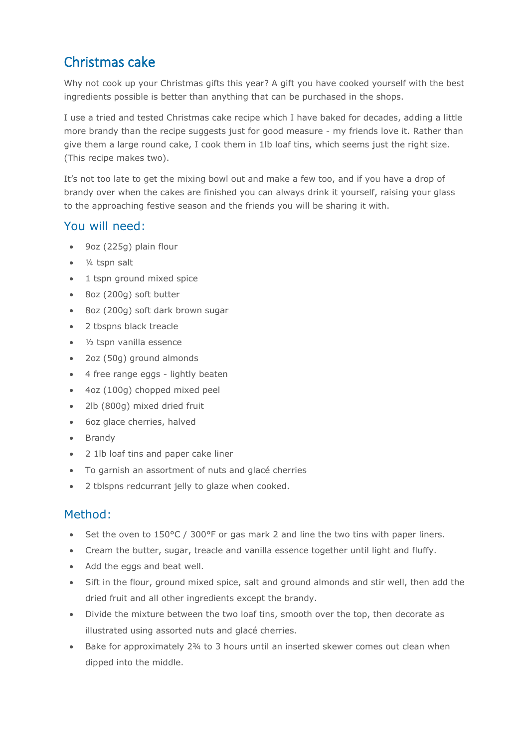## Christmas cake

Why not cook up your Christmas gifts this year? A gift you have cooked yourself with the best ingredients possible is better than anything that can be purchased in the shops.

I use a tried and tested Christmas cake recipe which I have baked for decades, adding a little more brandy than the recipe suggests just for good measure - my friends love it. Rather than give them a large round cake, I cook them in 1lb loaf tins, which seems just the right size. (This recipe makes two).

It's not too late to get the mixing bowl out and make a few too, and if you have a drop of brandy over when the cakes are finished you can always drink it yourself, raising your glass to the approaching festive season and the friends you will be sharing it with.

## You will need:

- 9oz (225g) plain flour
- ¼ tspn salt
- 1 tspn ground mixed spice
- 8oz (200g) soft butter
- 8oz (200g) soft dark brown sugar
- 2 tbspns black treacle
- ½ tspn vanilla essence
- 2oz (50g) ground almonds
- 4 free range eggs lightly beaten
- 4oz (100g) chopped mixed peel
- 2lb (800g) mixed dried fruit
- 6oz glace cherries, halved
- Brandy
- 2 1lb loaf tins and paper cake liner
- To garnish an assortment of nuts and glacé cherries
- 2 tblspns redcurrant jelly to glaze when cooked.

## Method:

- Set the oven to  $150^{\circ}$ C / 300°F or gas mark 2 and line the two tins with paper liners.
- Cream the butter, sugar, treacle and vanilla essence together until light and fluffy.
- Add the eggs and beat well.
- Sift in the flour, ground mixed spice, salt and ground almonds and stir well, then add the dried fruit and all other ingredients except the brandy.
- Divide the mixture between the two loaf tins, smooth over the top, then decorate as illustrated using assorted nuts and glacé cherries.
- Bake for approximately 2¾ to 3 hours until an inserted skewer comes out clean when dipped into the middle.